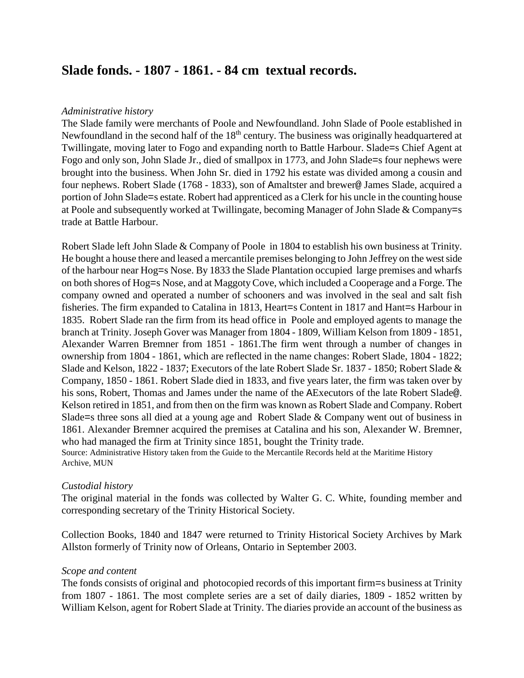# **Slade fonds. - 1807 - 1861. - 84 cm textual records.**

## *Administrative history*

The Slade family were merchants of Poole and Newfoundland. John Slade of Poole established in Newfoundland in the second half of the 18<sup>th</sup> century. The business was originally headquartered at Twillingate, moving later to Fogo and expanding north to Battle Harbour. Slade=s Chief Agent at Fogo and only son, John Slade Jr., died of smallpox in 1773, and John Slade=s four nephews were brought into the business. When John Sr. died in 1792 his estate was divided among a cousin and four nephews. Robert Slade (1768 - 1833), son of Amaltster and brewer@ James Slade, acquired a portion of John Slade=s estate. Robert had apprenticed as a Clerk for his uncle in the counting house at Poole and subsequently worked at Twillingate, becoming Manager of John Slade & Company=s trade at Battle Harbour.

Robert Slade left John Slade & Company of Poole in 1804 to establish his own business at Trinity. He bought a house there and leased a mercantile premises belonging to John Jeffrey on the west side of the harbour near Hog=s Nose. By 1833 the Slade Plantation occupied large premises and wharfs on both shores of Hog=s Nose, and at Maggoty Cove, which included a Cooperage and a Forge. The company owned and operated a number of schooners and was involved in the seal and salt fish fisheries. The firm expanded to Catalina in 1813, Heart=s Content in 1817 and Hant=s Harbour in 1835. Robert Slade ran the firm from its head office in Poole and employed agents to manage the branch at Trinity. Joseph Gover was Manager from 1804 - 1809, William Kelson from 1809 - 1851, Alexander Warren Bremner from 1851 - 1861.The firm went through a number of changes in ownership from 1804 - 1861, which are reflected in the name changes: Robert Slade, 1804 - 1822; Slade and Kelson, 1822 - 1837; Executors of the late Robert Slade Sr. 1837 - 1850; Robert Slade & Company, 1850 - 1861. Robert Slade died in 1833, and five years later, the firm was taken over by his sons, Robert, Thomas and James under the name of the AExecutors of the late Robert Slade@. Kelson retired in 1851, and from then on the firm was known as Robert Slade and Company. Robert Slade=s three sons all died at a young age and Robert Slade & Company went out of business in 1861. Alexander Bremner acquired the premises at Catalina and his son, Alexander W. Bremner, who had managed the firm at Trinity since 1851, bought the Trinity trade. Source: Administrative History taken from the Guide to the Mercantile Records held at the Maritime History Archive, MUN

## *Custodial history*

The original material in the fonds was collected by Walter G. C. White, founding member and corresponding secretary of the Trinity Historical Society.

Collection Books, 1840 and 1847 were returned to Trinity Historical Society Archives by Mark Allston formerly of Trinity now of Orleans, Ontario in September 2003.

## *Scope and content*

The fonds consists of original and photocopied records of this important firm=s business at Trinity from 1807 - 1861. The most complete series are a set of daily diaries, 1809 - 1852 written by William Kelson, agent for Robert Slade at Trinity. The diaries provide an account of the business as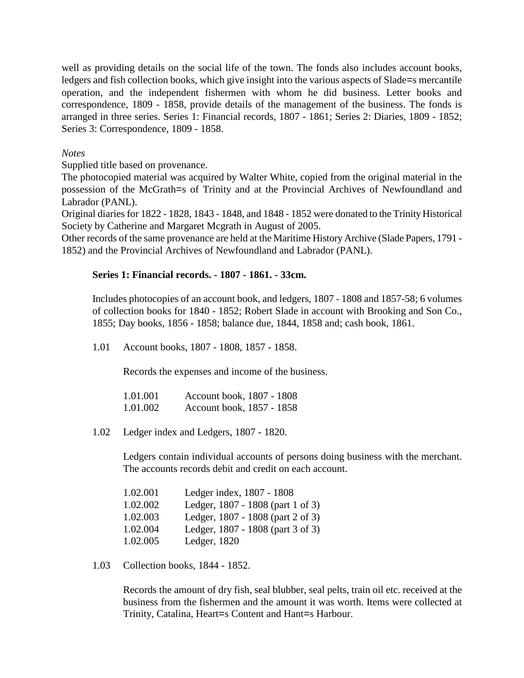well as providing details on the social life of the town. The fonds also includes account books, ledgers and fish collection books, which give insight into the various aspects of Slade=s mercantile operation, and the independent fishermen with whom he did business. Letter books and correspondence, 1809 - 1858, provide details of the management of the business. The fonds is arranged in three series. Series 1: Financial records, 1807 - 1861; Series 2: Diaries, 1809 - 1852; Series 3: Correspondence, 1809 - 1858.

# *Notes*

Supplied title based on provenance.

The photocopied material was acquired by Walter White, copied from the original material in the possession of the McGrath=s of Trinity and at the Provincial Archives of Newfoundland and Labrador (PANL).

Original diaries for 1822 - 1828, 1843 - 1848, and 1848 - 1852 were donated to the Trinity Historical Society by Catherine and Margaret Mcgrath in August of 2005.

Other records of the same provenance are held at the Maritime History Archive (Slade Papers, 1791 - 1852) and the Provincial Archives of Newfoundland and Labrador (PANL).

# **Series 1: Financial records. - 1807 - 1861. - 33cm.**

Includes photocopies of an account book, and ledgers, 1807 - 1808 and 1857-58; 6 volumes of collection books for 1840 - 1852; Robert Slade in account with Brooking and Son Co., 1855; Day books, 1856 - 1858; balance due, 1844, 1858 and; cash book, 1861.

1.01 Account books, 1807 - 1808, 1857 - 1858.

Records the expenses and income of the business.

| 1.01.001 | Account book, 1807 - 1808 |
|----------|---------------------------|
| 1.01.002 | Account book, 1857 - 1858 |

1.02 Ledger index and Ledgers, 1807 - 1820.

Ledgers contain individual accounts of persons doing business with the merchant. The accounts records debit and credit on each account.

| 1.02.001 | Ledger index, 1807 - 1808         |
|----------|-----------------------------------|
| 1.02.002 | Ledger, 1807 - 1808 (part 1 of 3) |
| 1.02.003 | Ledger, 1807 - 1808 (part 2 of 3) |
| 1.02.004 | Ledger, 1807 - 1808 (part 3 of 3) |
| 1.02.005 | Ledger, 1820                      |

1.03 Collection books, 1844 - 1852.

Records the amount of dry fish, seal blubber, seal pelts, train oil etc. received at the business from the fishermen and the amount it was worth. Items were collected at Trinity, Catalina, Heart=s Content and Hant=s Harbour.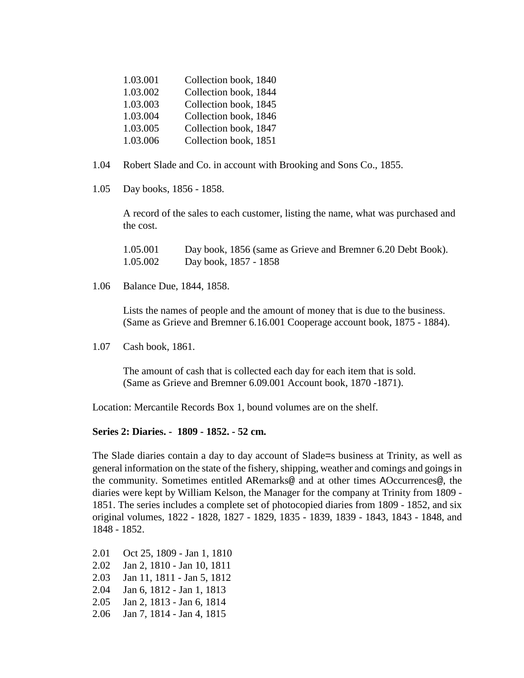| 1.03.001 | Collection book, 1840 |
|----------|-----------------------|
| 1.03.002 | Collection book, 1844 |
| 1.03.003 | Collection book, 1845 |
| 1.03.004 | Collection book, 1846 |
| 1.03.005 | Collection book, 1847 |
| 1.03.006 | Collection book, 1851 |

- 1.04 Robert Slade and Co. in account with Brooking and Sons Co., 1855.
- 1.05 Day books, 1856 1858.

A record of the sales to each customer, listing the name, what was purchased and the cost.

| 1.05.001 | Day book, 1856 (same as Grieve and Bremner 6.20 Debt Book). |
|----------|-------------------------------------------------------------|
| 1.05.002 | Day book, 1857 - 1858                                       |

1.06 Balance Due, 1844, 1858.

Lists the names of people and the amount of money that is due to the business. (Same as Grieve and Bremner 6.16.001 Cooperage account book, 1875 - 1884).

1.07 Cash book, 1861.

The amount of cash that is collected each day for each item that is sold. (Same as Grieve and Bremner 6.09.001 Account book, 1870 -1871).

Location: Mercantile Records Box 1, bound volumes are on the shelf.

# **Series 2: Diaries. - 1809 - 1852. - 52 cm.**

The Slade diaries contain a day to day account of Slade=s business at Trinity, as well as general information on the state of the fishery, shipping, weather and comings and goings in the community. Sometimes entitled ARemarks@ and at other times AOccurrences@, the diaries were kept by William Kelson, the Manager for the company at Trinity from 1809 - 1851. The series includes a complete set of photocopied diaries from 1809 - 1852, and six original volumes, 1822 - 1828, 1827 - 1829, 1835 - 1839, 1839 - 1843, 1843 - 1848, and 1848 - 1852.

2.01 Oct 25, 1809 - Jan 1, 1810 2.02 Jan 2, 1810 - Jan 10, 1811 2.03 Jan 11, 1811 - Jan 5, 1812 2.04 Jan 6, 1812 - Jan 1, 1813 2.05 Jan 2, 1813 - Jan 6, 1814 2.06 Jan 7, 1814 - Jan 4, 1815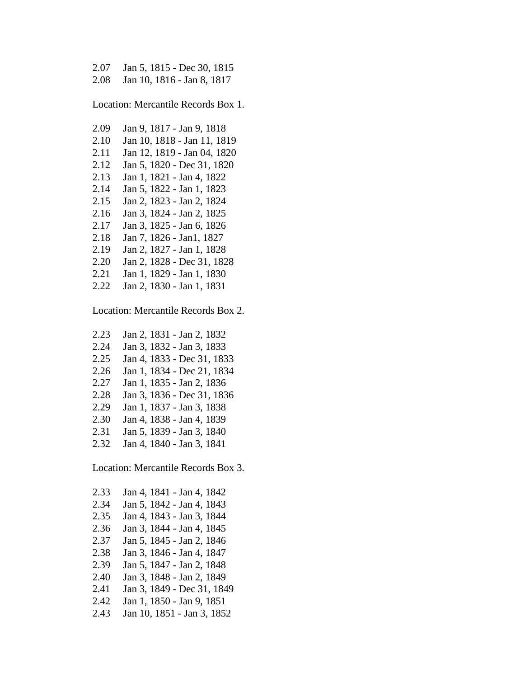| 2.07 Jan 5, 1815 - Dec 30, 1815 |
|---------------------------------|
| 2.08 Jan 10, 1816 - Jan 8, 1817 |

Location: Mercantile Records Box 1.

2.09 Jan 9, 1817 - Jan 9, 1818 2.10 Jan 10, 1818 - Jan 11, 1819 2.11 Jan 12, 1819 - Jan 04, 1820 2.12 Jan 5, 1820 - Dec 31, 1820 2.13 Jan 1, 1821 - Jan 4, 1822 2.14 Jan 5, 1822 - Jan 1, 1823 2.15 Jan 2, 1823 - Jan 2, 1824 2.16 Jan 3, 1824 - Jan 2, 1825 2.17 Jan 3, 1825 - Jan 6, 1826 2.18 Jan 7, 1826 - Jan1, 1827 2.19 Jan 2, 1827 - Jan 1, 1828 2.20 Jan 2, 1828 - Dec 31, 1828 2.21 Jan 1, 1829 - Jan 1, 1830 2.22 Jan 2, 1830 - Jan 1, 1831

Location: Mercantile Records Box 2.

2.23 Jan 2, 1831 - Jan 2, 1832 2.24 Jan 3, 1832 - Jan 3, 1833 2.25 Jan 4, 1833 - Dec 31, 1833 2.26 Jan 1, 1834 - Dec 21, 1834 2.27 Jan 1, 1835 - Jan 2, 1836 2.28 Jan 3, 1836 - Dec 31, 1836 2.29 Jan 1, 1837 - Jan 3, 1838 2.30 Jan 4, 1838 - Jan 4, 1839 2.31 Jan 5, 1839 - Jan 3, 1840 2.32 Jan 4, 1840 - Jan 3, 1841

Location: Mercantile Records Box 3.

2.33 Jan 4, 1841 - Jan 4, 1842 2.34 Jan 5, 1842 - Jan 4, 1843 2.35 Jan 4, 1843 - Jan 3, 1844 2.36 Jan 3, 1844 - Jan 4, 1845 2.37 Jan 5, 1845 - Jan 2, 1846 2.38 Jan 3, 1846 - Jan 4, 1847 2.39 Jan 5, 1847 - Jan 2, 1848 2.40 Jan 3, 1848 - Jan 2, 1849 2.41 Jan 3, 1849 - Dec 31, 1849 2.42 Jan 1, 1850 - Jan 9, 1851 2.43 Jan 10, 1851 - Jan 3, 1852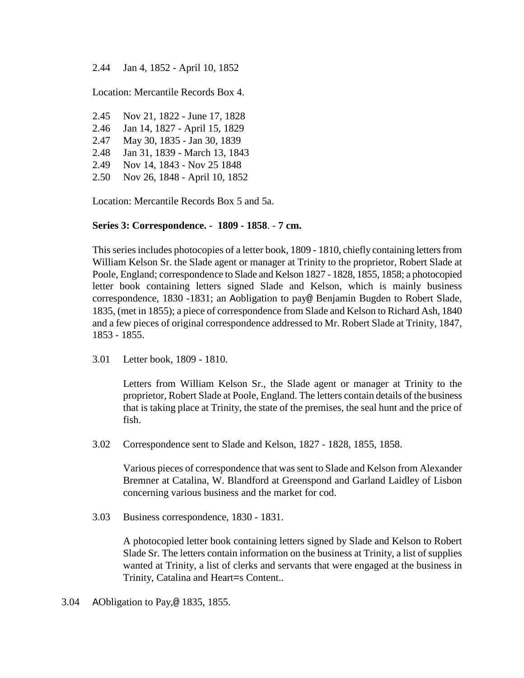2.44 Jan 4, 1852 - April 10, 1852

Location: Mercantile Records Box 4.

2.45 Nov 21, 1822 - June 17, 1828 2.46 Jan 14, 1827 - April 15, 1829 2.47 May 30, 1835 - Jan 30, 1839 2.48 Jan 31, 1839 - March 13, 1843 2.49 Nov 14, 1843 - Nov 25 1848 2.50 Nov 26, 1848 - April 10, 1852

Location: Mercantile Records Box 5 and 5a.

# **Series 3: Correspondence. - 1809 - 1858**. - **7 cm.**

This series includes photocopies of a letter book, 1809 - 1810, chiefly containing letters from William Kelson Sr. the Slade agent or manager at Trinity to the proprietor, Robert Slade at Poole, England; correspondence to Slade and Kelson 1827 - 1828, 1855, 1858; a photocopied letter book containing letters signed Slade and Kelson, which is mainly business correspondence, 1830 -1831; an Aobligation to pay@ Benjamin Bugden to Robert Slade, 1835, (met in 1855); a piece of correspondence from Slade and Kelson to Richard Ash, 1840 and a few pieces of original correspondence addressed to Mr. Robert Slade at Trinity, 1847, 1853 - 1855.

3.01 Letter book, 1809 - 1810.

Letters from William Kelson Sr., the Slade agent or manager at Trinity to the proprietor, Robert Slade at Poole, England. The letters contain details of the business that is taking place at Trinity, the state of the premises, the seal hunt and the price of fish.

3.02 Correspondence sent to Slade and Kelson, 1827 - 1828, 1855, 1858.

Various pieces of correspondence that was sent to Slade and Kelson from Alexander Bremner at Catalina, W. Blandford at Greenspond and Garland Laidley of Lisbon concerning various business and the market for cod.

3.03 Business correspondence, 1830 - 1831.

A photocopied letter book containing letters signed by Slade and Kelson to Robert Slade Sr. The letters contain information on the business at Trinity, a list of supplies wanted at Trinity, a list of clerks and servants that were engaged at the business in Trinity, Catalina and Heart=s Content..

3.04 AObligation to Pay,@ 1835, 1855.